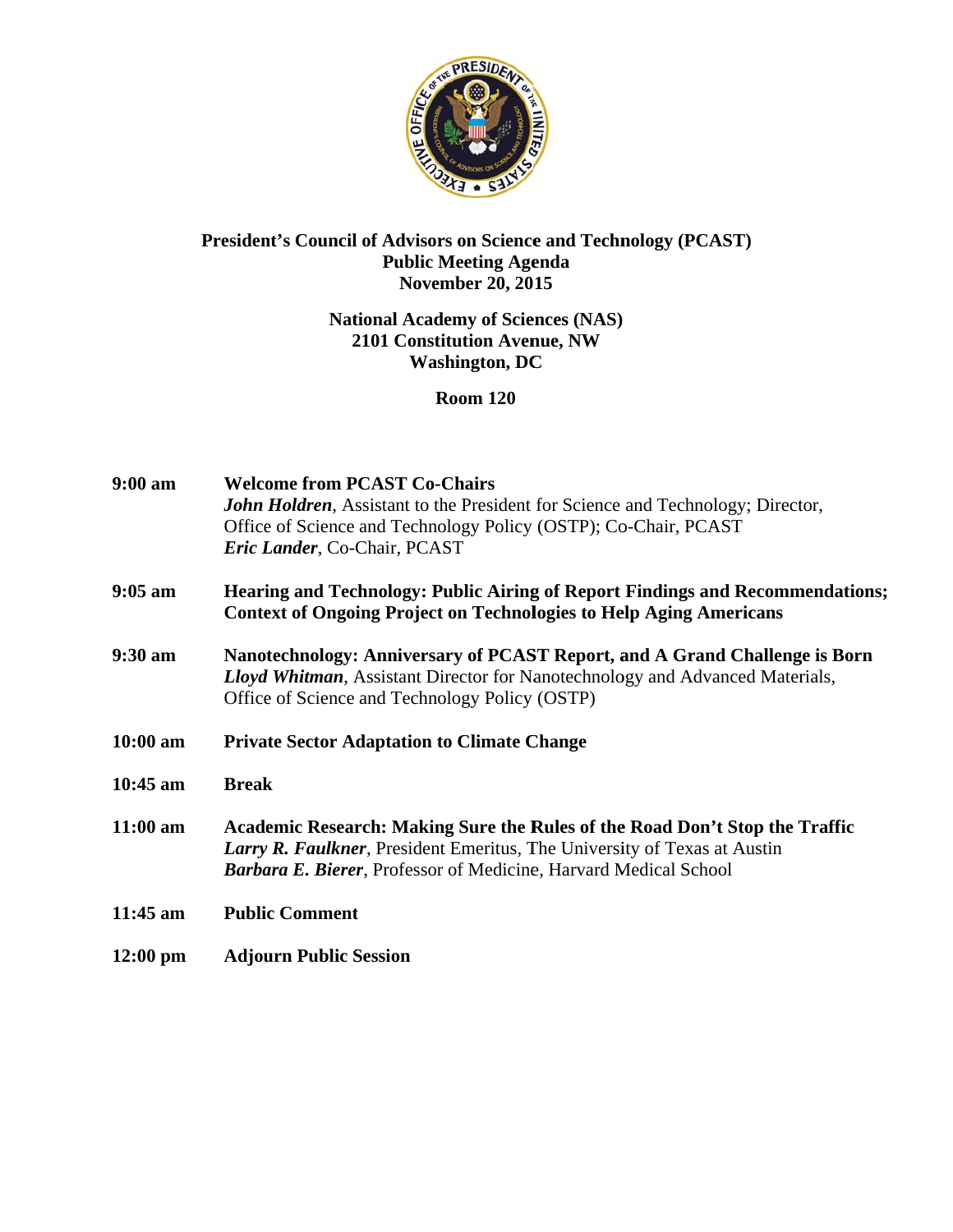

# President's Council of Advisors on Science and Technology (PCAST) **Public Meeting Agenda** November  $20, 2015$

# **National Academy of Sciences (NAS)** 2101 Constitution Avenue, NW **Washington, DC**

**Room 120** 

| $9:00 a$ m         | <b>Welcome from PCAST Co-Chairs</b><br><b>John Holdren, Assistant to the President for Science and Technology; Director,</b><br>Office of Science and Technology Policy (OSTP); Co-Chair, PCAST<br>Eric Lander, Co-Chair, PCAST            |
|--------------------|--------------------------------------------------------------------------------------------------------------------------------------------------------------------------------------------------------------------------------------------|
| $9:05$ am          | <b>Hearing and Technology: Public Airing of Report Findings and Recommendations;</b><br><b>Context of Ongoing Project on Technologies to Help Aging Americans</b>                                                                          |
| $9:30$ am          | Nanotechnology: Anniversary of PCAST Report, and A Grand Challenge is Born<br><b>Lloyd Whitman, Assistant Director for Nanotechnology and Advanced Materials,</b><br>Office of Science and Technology Policy (OSTP)                        |
| $10:00$ am         | <b>Private Sector Adaptation to Climate Change</b>                                                                                                                                                                                         |
| $10:45$ am         | <b>Break</b>                                                                                                                                                                                                                               |
| $11:00$ am         | Academic Research: Making Sure the Rules of the Road Don't Stop the Traffic<br><b>Larry R. Faulkner</b> , President Emeritus, The University of Texas at Austin<br><b>Barbara E. Bierer, Professor of Medicine, Harvard Medical School</b> |
| 11:45 am           | <b>Public Comment</b>                                                                                                                                                                                                                      |
| $12:00 \text{ pm}$ | <b>Adjourn Public Session</b>                                                                                                                                                                                                              |